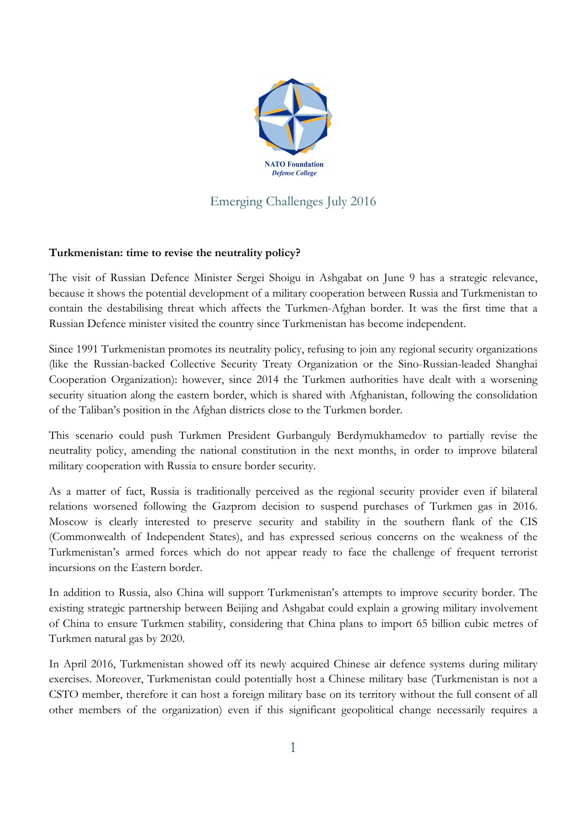

## Emerging Challenges July 2016

## **Turkmenistan: time to revise the neutrality policy?**

The visit of Russian Defence Minister Sergei Shoigu in Ashgabat on June 9 has a strategic relevance, because it shows the potential development of a military cooperation between Russia and Turkmenistan to contain the destabilising threat which affects the Turkmen-Afghan border. It was the first time that a Russian Defence minister visited the country since Turkmenistan has become independent.

Since 1991 Turkmenistan promotes its neutrality policy, refusing to join any regional security organizations (like the Russian-backed Collective Security Treaty Organization or the Sino-Russian-leaded Shanghai Cooperation Organization): however, since 2014 the Turkmen authorities have dealt with a worsening security situation along the eastern border, which is shared with Afghanistan, following the consolidation of the Taliban's position in the Afghan districts close to the Turkmen border.

This scenario could push Turkmen President Gurbanguly Berdymukhamedov to partially revise the neutrality policy, amending the national constitution in the next months, in order to improve bilateral military cooperation with Russia to ensure border security.

As a matter of fact, Russia is traditionally perceived as the regional security provider even if bilateral relations worsened following the Gazprom decision to suspend purchases of Turkmen gas in 2016. Moscow is clearly interested to preserve security and stability in the southern flank of the CIS (Commonwealth of Independent States), and has expressed serious concerns on the weakness of the Turkmenistan's armed forces which do not appear ready to face the challenge of frequent terrorist incursions on the Eastern border.

In addition to Russia, also China will support Turkmenistan's attempts to improve security border. The existing strategic partnership between Beijing and Ashgabat could explain a growing military involvement of China to ensure Turkmen stability, considering that China plans to import 65 billion cubic metres of Turkmen natural gas by 2020.

In April 2016, Turkmenistan showed off its newly acquired Chinese air defence systems during military exercises. Moreover, Turkmenistan could potentially host a Chinese military base (Turkmenistan is not a CSTO member, therefore it can host a foreign military base on its territory without the full consent of all other members of the organization) even if this significant geopolitical change necessarily requires a